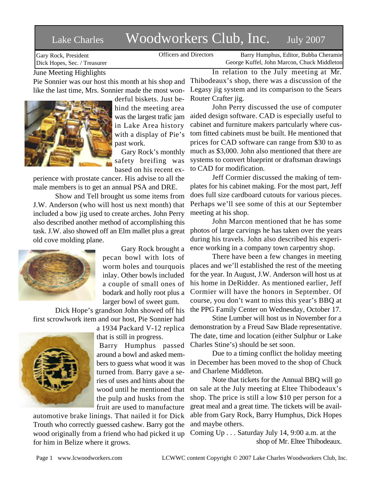## Lake Charles Woodworkers Club, Inc. July 2007

Gary Rock, President Dick Hopes, Sec. / Treasurer

Officers and Directors Barry Humphus, Editor, Bubba Cheramie George Kuffel, John Marcon, Chuck Middleton

June Meeting Highlights

Pie Sonnier was our host this month at his shop and like the last time, Mrs. Sonnier made the most won-



derful biskets. Just behind the meeting area was the largest trafic jam in Lake Area history with a display of Pie's past work.

Gary Rock's monthly safety breifing was based on his recent ex-

perience with prostate cancer. His advise to all the male members is to get an annual PSA and DRE.

Show and Tell brought us some items from J.W. Anderson (who will host us next month) that included a bow jig used to create arches. John Perry also described another method of accomplishing this task. J.W. also showed off an Elm mallet plus a great old cove molding plane.



Gary Rock brought a pecan bowl with lots of worm holes and tourquois inlay. Other bowls included a couple of small ones of bodark and holly root plus a larger bowl of sweet gum.

Dick Hope's grandson John showed off his first scrowlwork item and our host, Pie Sonnier had

> a 1934 Packard V-12 replica that is still in progress. Barry Humphus passed

around a bowl and asked members to guess what wood it was turned from. Barry gave a series of uses and hints about the wood until he mentioned that the pulp and husks from the fruit are used to manufacture

automotive brake linings. That nailed it for Dick Trouth who correctly guessed cashew. Barry got the wood originally from a friend who had picked it up for him in Belize where it grows.

In relation to the July meeting at Mr. Thibodeaux's shop, there was a discussion of the Legasy jig system and its comparison to the Sears Router Crafter jig.

John Perry discussed the use of computer aided design software. CAD is especially useful to cabinet and furniture makers partcularly where custom fitted cabinets must be built. He mentioned that prices for CAD software can range from \$30 to as much as \$3,000. John also mentioned that there are systems to convert blueprint or draftsman drawings to CAD for modification.

Jeff Cormier discussed the making of templates for his cabinet making. For the most part, Jeff does full size cardboard cutouts for various pieces. Perhaps we'll see some of this at our September meeting at his shop.

John Marcon mentioned that he has some photos of large carvings he has taken over the years during his travels. John also described his experience working in a company town carpentry shop.

There have been a few changes in meeting places and we'll established the rest of the meeting for the year. In August, J.W. Anderson will host us at his home in DeRidder. As mentioned earlier, Jeff Cormier will have the honors in September. Of course, you don't want to miss this year's BBQ at the PPG Family Center on Wednesday, October 17.

Stine Lumber will host us in November for a demonstration by a Freud Saw Blade representative. The date, time and location (either Sulphur or Lake Charles Stine's) should be set soon.

Due to a timing conflict the holiday meeting in December has been moved to the shop of Chuck and Charlene Middleton.

Note that tickets for the Annual BBQ will go on sale at the July meeting at Eltee Thibodeaux's shop. The price is still a low \$10 per person for a great meal and a great time. The tickets will be available from Gary Rock, Barry Humphus, Dick Hopes and maybe others.

Coming Up . . . Saturday July 14, 9:00 a.m. at the shop of Mr. Eltee Thibodeaux.

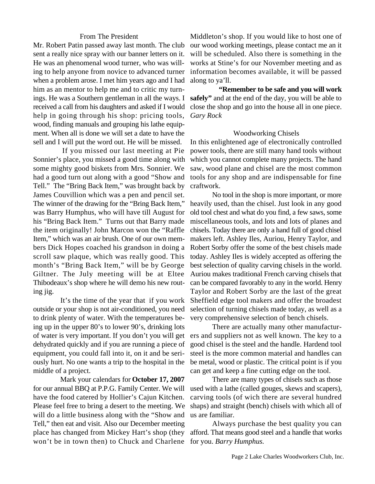## From The President

Mr. Robert Patin passed away last month. The club sent a really nice spray with our banner letters on it. He was an phenomenal wood turner, who was willing to help anyone from novice to advanced turner when a problem arose. I met him years ago and I had him as an mentor to help me and to critic my turnings. He was a Southern gentleman in all the ways. I received a call from his daughters and asked if I would help in going through his shop: pricing tools, wood, finding manuals and grouping his lathe equipment. When all is done we will set a date to have the sell and I will put the word out. He will be missed.

 If you missed our last meeting at Pie Sonnier's place, you missed a good time along with some mighty good biskets from Mrs. Sonnier. We had a good turn out along with a good "Show and Tell." The "Bring Back Item," was brought back by James Couvillion which was a pen and pencil set. The winner of the drawing for the "Bring Back Item," was Barry Humphus, who will have till August for his "Bring Back Item." Turns out that Barry made the item originally! John Marcon won the "Raffle Item," which was an air brush. One of our own members Dick Hopes coached his grandson in doing a scroll saw plaque, which was really good. This month's "Bring Back Item," will be by George Giltner. The July meeting will be at Eltee Thibodeaux's shop where he will demo his new routing jig.

outside or your shop is not air-conditioned, you need to drink plenty of water. With the temperatures being up in the upper 80's to lower 90's, drinking lots of water is very important. If you don't you will get dehydrated quickly and if you are running a piece of equipment, you could fall into it, on it and be seriously hurt. No one wants a trip to the hospital in the middle of a project.

 Mark your calendars for **October 17, 2007** for our annual BBQ at P.P.G. Family Center. We will have the food catered by Hollier's Cajun Kitchen. Please feel free to bring a desert to the meeting. We will do a little business along with the "Show and Tell," then eat and visit. Also our December meeting place has changed from Mickey Hart's shop (they won't be in town then) to Chuck and Charlene for you. *Barry Humphus.*

Middleton's shop. If you would like to host one of our wood working meetings, please contact me an it will be scheduled. Also there is something in the works at Stine's for our November meeting and as information becomes available, it will be passed along to ya'll.

 **"Remember to be safe and you will work safely"** and at the end of the day, you will be able to close the shop and go into the house all in one piece. *Gary Rock*

## Woodworking Chisels

In this enlightened age of electronically controlled power tools, there are still many hand tools without which you cannot complete many projects. The hand saw, wood plane and chisel are the most common tools for any shop and are indispensable for fine craftwork.

 It's the time of the year that if you work Sheffield edge tool makers and offer the broadest No tool in the shop is more important, or more heavily used, than the chisel. Just look in any good old tool chest and what do you find, a few saws, some miscellaneous tools, and lots and lots of planes and chisels. Today there are only a hand full of good chisel makers left. Ashley Iles, Auriou, Henry Taylor, and Robert Sorby offer the some of the best chisels made today. Ashley Iles is widely accepted as offering the best selection of quality carving chisels in the world. Auriou makes traditional French carving chisels that can be compared favorably to any in the world. Henry Taylor and Robert Sorby are the last of the great selection of turning chisels made today, as well as a very comprehensive selection of bench chisels.

> There are actually many other manufacturers and suppliers not as well known. The key to a good chisel is the steel and the handle. Hardend tool steel is the more common material and handles can be metal, wood or plastic. The critical point is if you can get and keep a fine cutting edge on the tool.

> There are many types of chisels such as those used with a lathe (called gouges, skews and scapers), carving tools (of wich there are several hundred shaps) and straight (bench) chisels with which all of us are familiar.

> Always purchase the best quality you can afford. That means good steel and a handle that works